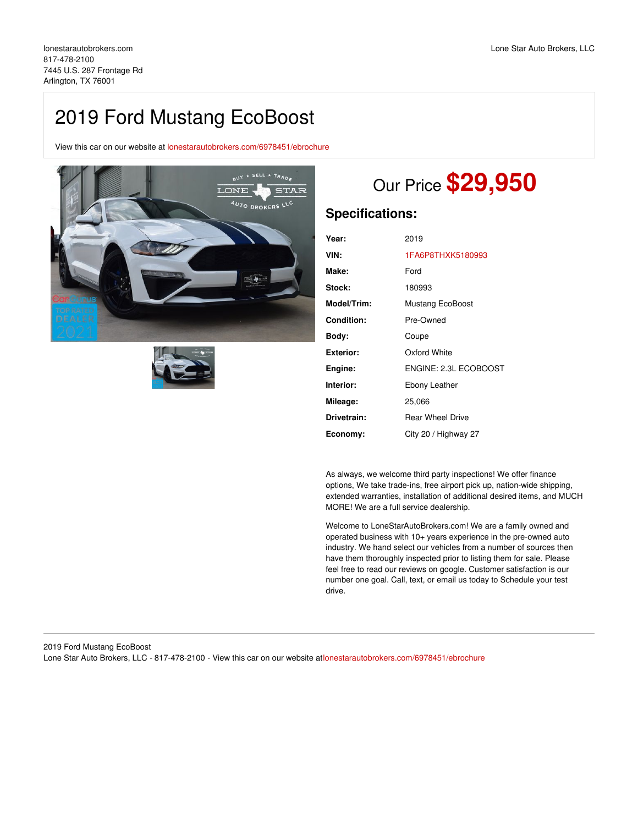## 2019 Ford Mustang EcoBoost

View this car on our website at [lonestarautobrokers.com/6978451/ebrochure](https://lonestarautobrokers.com/vehicle/6978451/2019-ford-mustang-ecoboost-arlington-tx-76001/6978451/ebrochure)





# Our Price **\$29,950**

## **Specifications:**

| Year:            | 2019                    |
|------------------|-------------------------|
| VIN:             | 1FA6P8THXK5180993       |
| Make:            | Ford                    |
| Stock:           | 180993                  |
| Model/Trim:      | Mustang EcoBoost        |
| Condition:       | Pre-Owned               |
| Body:            | Coupe                   |
| <b>Exterior:</b> | Oxford White            |
| Engine:          | ENGINE: 2.3L ECOBOOST   |
| Interior:        | Ebony Leather           |
| Mileage:         | 25,066                  |
| Drivetrain:      | <b>Rear Wheel Drive</b> |
| Economy:         | City 20 / Highway 27    |

As always, we welcome third party inspections! We offer finance options, We take trade-ins, free airport pick up, nation-wide shipping, extended warranties, installation of additional desired items, and MUCH MORE! We are a full service dealership.

Welcome to LoneStarAutoBrokers.com! We are a family owned and operated business with 10+ years experience in the pre-owned auto industry. We hand select our vehicles from a number of sources then have them thoroughly inspected prior to listing them for sale. Please feel free to read our reviews on google. Customer satisfaction is our number one goal. Call, text, or email us today to Schedule your test drive.

## 2019 Ford Mustang EcoBoost Lone Star Auto Brokers, LLC - 817-478-2100 - View this car on our website at[lonestarautobrokers.com/6978451/ebrochure](https://lonestarautobrokers.com/vehicle/6978451/2019-ford-mustang-ecoboost-arlington-tx-76001/6978451/ebrochure)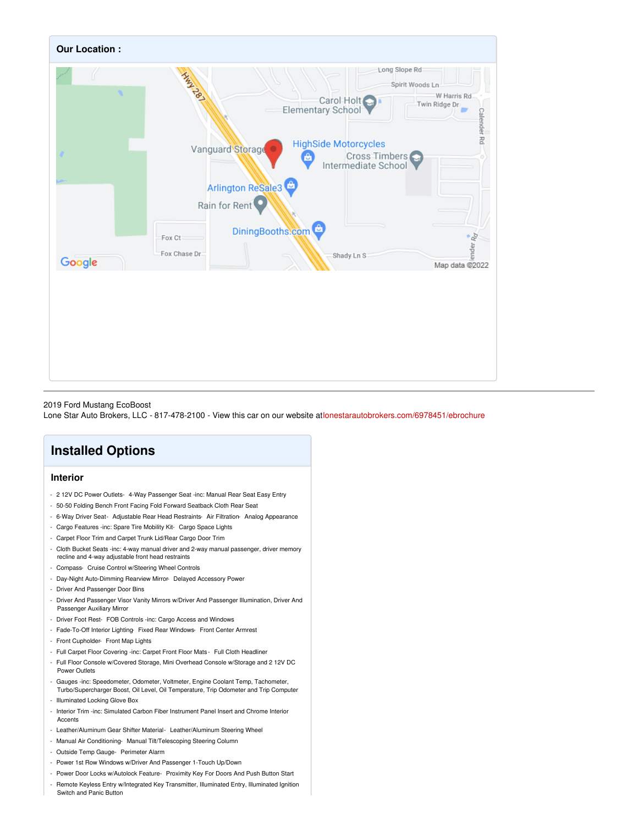

#### 2019 Ford Mustang EcoBoost

Lone Star Auto Brokers, LLC - 817-478-2100 - View this car on our website at[lonestarautobrokers.com/6978451/ebrochure](https://lonestarautobrokers.com/vehicle/6978451/2019-ford-mustang-ecoboost-arlington-tx-76001/6978451/ebrochure)

## **Installed Options**

## **Interior**

- 2 12V DC Power Outlets- 4-Way Passenger Seat -inc: Manual Rear Seat Easy Entry
- 50-50 Folding Bench Front Facing Fold Forward Seatback Cloth Rear Seat
- 6-Way Driver Seat- Adjustable Rear Head Restraints- Air Filtration- Analog Appearance
- Cargo Features -inc: Spare Tire Mobility Kit- Cargo Space Lights
- Carpet Floor Trim and Carpet Trunk Lid/Rear Cargo Door Trim
- Cloth Bucket Seats -inc: 4-way manual driver and 2-way manual passenger, driver memory recline and 4-way adjustable front head restraints
- Compass- Cruise Control w/Steering Wheel Controls
- Day-Night Auto-Dimming Rearview Mirror- Delayed Accessory Power
- Driver And Passenger Door Bins
- Driver And Passenger Visor Vanity Mirrors w/Driver And Passenger Illumination, Driver And Passenger Auxiliary Mirror
- Driver Foot Rest- FOB Controls -inc: Cargo Access and Windows
- Fade-To-Off Interior Lighting- Fixed Rear Windows- Front Center Armrest
- Front Cupholder- Front Map Lights
- Full Carpet Floor Covering -inc: Carpet Front Floor Mats Full Cloth Headliner
- Full Floor Console w/Covered Storage, Mini Overhead Console w/Storage and 2 12V DC Power Outlets
- Gauges -inc: Speedometer, Odometer, Voltmeter, Engine Coolant Temp, Tachometer,
- Turbo/Supercharger Boost, Oil Level, Oil Temperature, Trip Odometer and Trip Computer - Illuminated Locking Glove Box
- Interior Trim -inc: Simulated Carbon Fiber Instrument Panel Insert and Chrome Interior Accents
- Leather/Aluminum Gear Shifter Material- Leather/Aluminum Steering Wheel
- Manual Air Conditioning- Manual Tilt/Telescoping Steering Column
- Outside Temp Gauge- Perimeter Alarm
- Power 1st Row Windows w/Driver And Passenger 1-Touch Up/Down
- Power Door Locks w/Autolock Feature- Proximity Key For Doors And Push Button Start
- Remote Keyless Entry w/Integrated Key Transmitter, Illuminated Entry, Illuminated Ignition Switch and Panic Button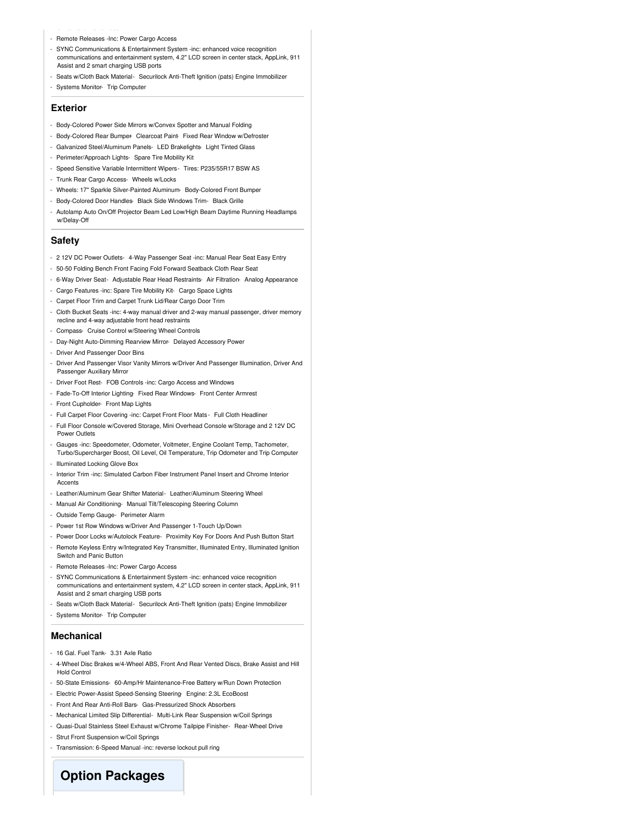- Remote Releases -Inc: Power Cargo Access
- SYNC Communications & Entertainment System -inc: enhanced voice recognition communications and entertainment system, 4.2" LCD screen in center stack, AppLink, 911 Assist and 2 smart charging USB ports
- Seats w/Cloth Back Material- Securilock Anti-Theft Ignition (pats) Engine Immobilizer
- Systems Monitor- Trip Computer

## **Exterior**

- Body-Colored Power Side Mirrors w/Convex Spotter and Manual Folding
- Body-Colored Rear Bumper- Clearcoat Paint- Fixed Rear Window w/Defroster
- Galvanized Steel/Aluminum Panels- LED Brakelights- Light Tinted Glass
- Perimeter/Approach Lights- Spare Tire Mobility Kit
- Speed Sensitive Variable Intermittent Wipers- Tires: P235/55R17 BSW AS
- Trunk Rear Cargo Access- Wheels w/Locks
- Wheels: 17" Sparkle Silver-Painted Aluminum- Body-Colored Front Bumper
- Body-Colored Door Handles- Black Side Windows Trim- Black Grille
- Autolamp Auto On/Off Projector Beam Led Low/High Beam Daytime Running Headlamps w/Delay-Off

#### **Safety**

- 2 12V DC Power Outlets- 4-Way Passenger Seat -inc: Manual Rear Seat Easy Entry
- 50-50 Folding Bench Front Facing Fold Forward Seatback Cloth Rear Seat
- 6-Way Driver Seat- Adjustable Rear Head Restraints- Air Filtration- Analog Appearance
- Cargo Features -inc: Spare Tire Mobility Kit- Cargo Space Lights
- Carpet Floor Trim and Carpet Trunk Lid/Rear Cargo Door Trim
- Cloth Bucket Seats -inc: 4-way manual driver and 2-way manual passenger, driver memory recline and 4-way adjustable front head restraints
- Compass- Cruise Control w/Steering Wheel Controls
- Day-Night Auto-Dimming Rearview Mirror- Delayed Accessory Power
- Driver And Passenger Door Bins
- Driver And Passenger Visor Vanity Mirrors w/Driver And Passenger Illumination, Driver And Passenger Auxiliary Mirror
- Driver Foot Rest- FOB Controls -inc: Cargo Access and Windows
- Fade-To-Off Interior Lighting- Fixed Rear Windows- Front Center Armrest
- Front Cupholder- Front Map Lights
- Full Carpet Floor Covering -inc: Carpet Front Floor Mats Full Cloth Headliner
- Full Floor Console w/Covered Storage, Mini Overhead Console w/Storage and 2 12V DC Power Outlets
- Gauges -inc: Speedometer, Odometer, Voltmeter, Engine Coolant Temp, Tachometer, Turbo/Supercharger Boost, Oil Level, Oil Temperature, Trip Odometer and Trip Computer
- Illuminated Locking Glove Box
- Interior Trim -inc: Simulated Carbon Fiber Instrument Panel Insert and Chrome Interior Accents
- Leather/Aluminum Gear Shifter Material- Leather/Aluminum Steering Wheel
- Manual Air Conditioning- Manual Tilt/Telescoping Steering Column
- Outside Temp Gauge- Perimeter Alarm
- Power 1st Row Windows w/Driver And Passenger 1-Touch Up/Down
- Power Door Locks w/Autolock Feature- Proximity Key For Doors And Push Button Start
- Remote Keyless Entry w/Integrated Key Transmitter, Illuminated Entry, Illuminated Ignition Switch and Panic Button
- Remote Releases -Inc: Power Cargo Access
- SYNC Communications & Entertainment System -inc: enhanced voice recognition communications and entertainment system, 4.2" LCD screen in center stack, AppLink, 911 Assist and 2 smart charging USB ports
- Seats w/Cloth Back Material- Securilock Anti-Theft Ignition (pats) Engine Immobilizer
- Systems Monitor- Trip Computer

### **Mechanical**

- 16 Gal. Fuel Tank- 3.31 Axle Ratio
- 4-Wheel Disc Brakes w/4-Wheel ABS, Front And Rear Vented Discs, Brake Assist and Hill Hold Control
- 50-State Emissions- 60-Amp/Hr Maintenance-Free Battery w/Run Down Protection
- Electric Power-Assist Speed-Sensing Steering- Engine: 2.3L EcoBoost
- Front And Rear Anti-Roll Bars- Gas-Pressurized Shock Absorbers
- Mechanical Limited Slip Differential- Multi-Link Rear Suspension w/Coil Springs
- Quasi-Dual Stainless Steel Exhaust w/Chrome Tailpipe Finisher- Rear-Wheel Drive
- Strut Front Suspension w/Coil Springs
- Transmission: 6-Speed Manual -inc: reverse lockout pull ring

**Option Packages**